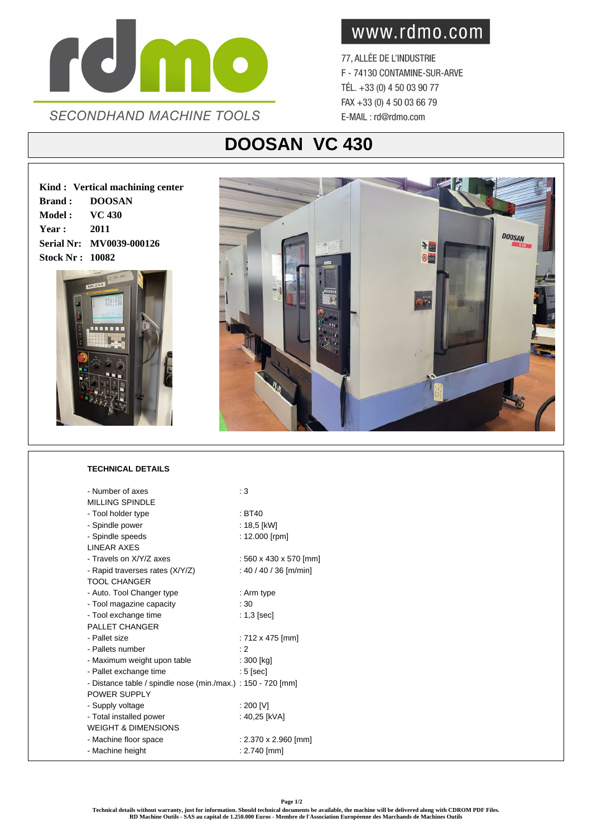

www.rdmo.com

77, ALLÉE DE L'INDUSTRIE F - 74130 CONTAMINE-SUR-ARVE TÉL. +33 (0) 4 50 03 90 77 FAX +33 (0) 4 50 03 66 79 E-MAIL: rd@rdmo.com

## **DOOSAN VC 430**

**Kind : Vertical machining center Brand : DOOSAN Model : VC 430 Year : 2011 Serial Nr: MV0039-000126 Stock Nr : 10082**





## **TECHNICAL DETAILS**

| - Number of axes                                             | $\cdot$ 3              |
|--------------------------------------------------------------|------------------------|
| <b>MILLING SPINDLE</b>                                       |                        |
| - Tool holder type                                           | : BT40                 |
| - Spindle power                                              | : 18,5 [kW]            |
| - Spindle speeds                                             | : 12.000 [rpm]         |
| <b>LINEAR AXES</b>                                           |                        |
| - Travels on X/Y/Z axes                                      | : 560 x 430 x 570 [mm] |
| - Rapid traverses rates (X/Y/Z)                              | : 40 / 40 / 36 [m/min] |
| <b>TOOL CHANGER</b>                                          |                        |
| - Auto. Tool Changer type                                    | : Arm type             |
| - Tool magazine capacity                                     | :30                    |
| - Tool exchange time                                         | $: 1,3$ [sec]          |
| <b>PALLET CHANGER</b>                                        |                        |
| - Pallet size                                                | : 712 x 475 [mm]       |
| - Pallets number                                             | : 2                    |
| - Maximum weight upon table                                  | : 300 [kg]             |
| - Pallet exchange time                                       | $: 5$ [sec]            |
| - Distance table / spindle nose (min./max.) : 150 - 720 [mm] |                        |
| POWER SUPPLY                                                 |                        |
| - Supply voltage                                             | : 200 [V]              |
| - Total installed power                                      | : 40,25 [kVA]          |
| <b>WEIGHT &amp; DIMENSIONS</b>                               |                        |
| - Machine floor space                                        | : 2.370 x 2.960 [mm]   |
| - Machine height                                             | $: 2.740$ [mm]         |

**Page 1/2**